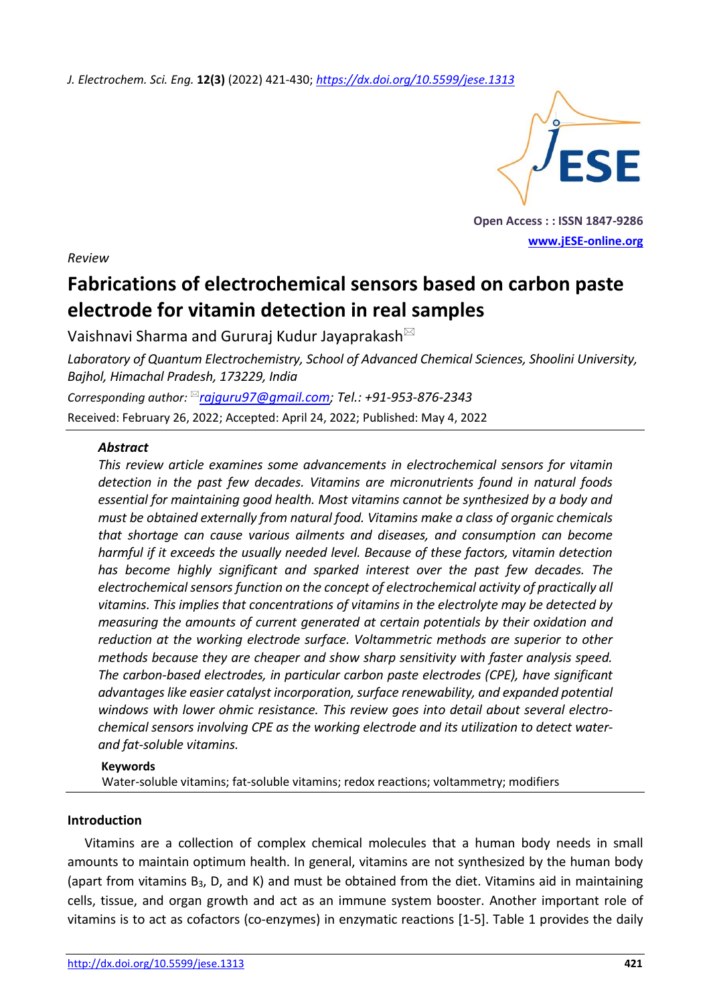*J. Electrochem. Sci. Eng.* **12(3)** (2022) 421-430; *<https://dx.doi.org/10.5599/jese.1313>*



**Open Access : : ISSN 1847-9286 [www.jESE-online.org](http://www.jese-online.org/)**

# **Fabrications of electrochemical sensors based on carbon paste electrode for vitamin detection in real samples**

Vaishnavi Sharma and Gururaj Kudur Jayaprakash<sup>⊠</sup>

*Laboratory of Quantum Electrochemistry, School of Advanced Chemical Sciences, Shoolini University, Bajhol, Himachal Pradesh, 173229, India*

*Corresponding author: [rajguru97@gmail.com;](mailto:rajguru97@gmail.com) Tel.: +91-953-876-2343* Received: February 26, 2022; Accepted: April 24, 2022; Published: May 4, 2022

## *Abstract*

*Review*

*This review article examines some advancements in electrochemical sensors for vitamin detection in the past few decades. Vitamins are micronutrients found in natural foods essential for maintaining good health. Most vitamins cannot be synthesized by a body and must be obtained externally from natural food. Vitamins make a class of organic chemicals that shortage can cause various ailments and diseases, and consumption can become harmful if it exceeds the usually needed level. Because of these factors, vitamin detection has become highly significant and sparked interest over the past few decades. The electrochemical sensors function on the concept of electrochemical activity of practically all vitamins. This implies that concentrations of vitamins in the electrolyte may be detected by measuring the amounts of current generated at certain potentials by their oxidation and reduction at the working electrode surface. Voltammetric methods are superior to other methods because they are cheaper and show sharp sensitivity with faster analysis speed. The carbon-based electrodes, in particular carbon paste electrodes (CPE), have significant advantages like easier catalyst incorporation, surface renewability, and expanded potential windows with lower ohmic resistance. This review goes into detail about several electrochemical sensors involving CPE as the working electrode and its utilization to detect waterand fat-soluble vitamins.*

#### **Keywords**

Water-soluble vitamins; fat-soluble vitamins; redox reactions; voltammetry; modifiers

#### **Introduction**

Vitamins are a collection of complex chemical molecules that a human body needs in small amounts to maintain optimum health. In general, vitamins are not synthesized by the human body (apart from vitamins B3, D, and K) and must be obtained from the diet. Vitamins aid in maintaining cells, tissue, and organ growth and act as an immune system booster. Another important role of vitamins is to act as cofactors (co-enzymes) in enzymatic reactions [1-5]. Table 1 provides the daily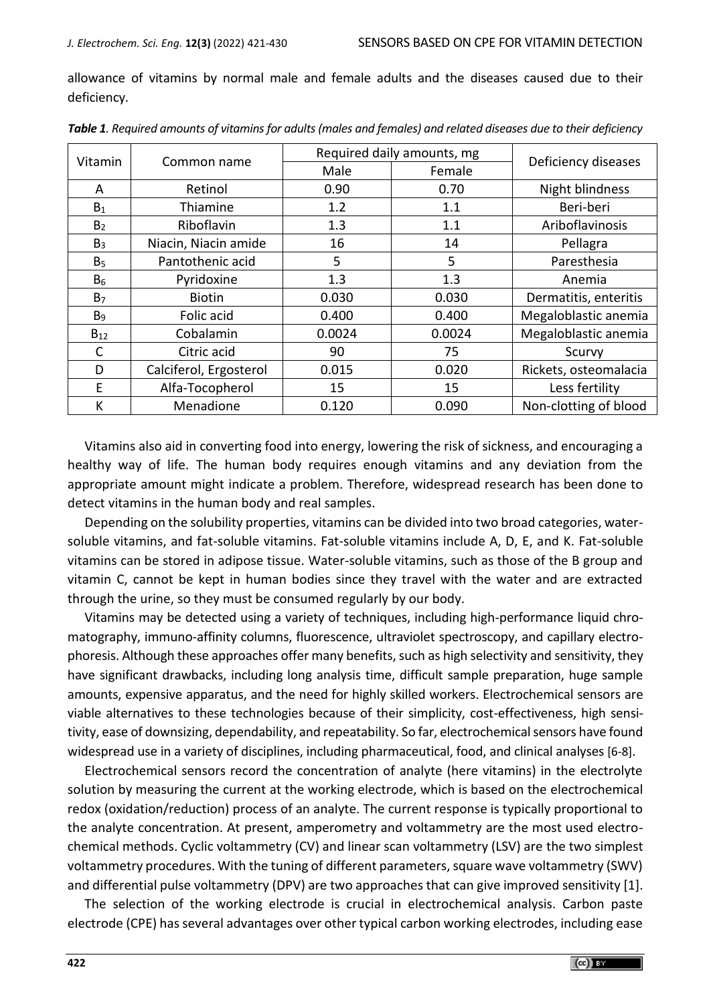allowance of vitamins by normal male and female adults and the diseases caused due to their deficiency.

|                |                        | Required daily amounts, mg |        |                       |  |
|----------------|------------------------|----------------------------|--------|-----------------------|--|
| Vitamin        | Common name            | Male                       | Female | Deficiency diseases   |  |
| A              | Retinol                | 0.90                       | 0.70   | Night blindness       |  |
| $B_1$          | Thiamine               | 1.2                        | 1.1    | Beri-beri             |  |
| B <sub>2</sub> | Riboflavin             | 1.3                        | 1.1    | Ariboflavinosis       |  |
| B <sub>3</sub> | Niacin, Niacin amide   | 16                         | 14     | Pellagra              |  |
| B <sub>5</sub> | Pantothenic acid       | 5                          | 5      | Paresthesia           |  |
| $B_6$          | Pyridoxine             | 1.3                        | 1.3    | Anemia                |  |
| B <sub>7</sub> | <b>Biotin</b>          | 0.030                      | 0.030  | Dermatitis, enteritis |  |
| B <sub>9</sub> | Folic acid             | 0.400                      | 0.400  | Megaloblastic anemia  |  |
| $B_{12}$       | Cobalamin              | 0.0024                     | 0.0024 | Megaloblastic anemia  |  |
| C              | Citric acid            | 90                         | 75     | Scurvy                |  |
| D              | Calciferol, Ergosterol | 0.015                      | 0.020  | Rickets, osteomalacia |  |
| Е              | Alfa-Tocopherol        | 15                         | 15     | Less fertility        |  |
| К              | Menadione              | 0.120                      | 0.090  | Non-clotting of blood |  |

*Table 1. Required amounts of vitamins for adults (males and females) and related diseases due to their deficiency*

Vitamins also aid in converting food into energy, lowering the risk of sickness, and encouraging a healthy way of life. The human body requires enough vitamins and any deviation from the appropriate amount might indicate a problem. Therefore, widespread research has been done to detect vitamins in the human body and real samples.

Depending on the solubility properties, vitamins can be divided into two broad categories, watersoluble vitamins, and fat-soluble vitamins. Fat-soluble vitamins include A, D, E, and K. Fat-soluble vitamins can be stored in adipose tissue. Water-soluble vitamins, such as those of the B group and vitamin C, cannot be kept in human bodies since they travel with the water and are extracted through the urine, so they must be consumed regularly by our body.

Vitamins may be detected using a variety of techniques, including high-performance liquid chromatography, immuno-affinity columns, fluorescence, ultraviolet spectroscopy, and capillary electrophoresis. Although these approaches offer many benefits, such as high selectivity and sensitivity, they have significant drawbacks, including long analysis time, difficult sample preparation, huge sample amounts, expensive apparatus, and the need for highly skilled workers. Electrochemical sensors are viable alternatives to these technologies because of their simplicity, cost-effectiveness, high sensitivity, ease of downsizing, dependability, and repeatability. So far, electrochemical sensors have found widespread use in a variety of disciplines, including pharmaceutical, food, and clinical analyses [6-8].

Electrochemical sensors record the concentration of analyte (here vitamins) in the electrolyte solution by measuring the current at the working electrode, which is based on the electrochemical redox (oxidation/reduction) process of an analyte. The current response is typically proportional to the analyte concentration. At present, amperometry and voltammetry are the most used electrochemical methods. Cyclic voltammetry (CV) and linear scan voltammetry (LSV) are the two simplest voltammetry procedures. With the tuning of different parameters, square wave voltammetry (SWV) and differential pulse voltammetry (DPV) are two approaches that can give improved sensitivity [1].

The selection of the working electrode is crucial in electrochemical analysis. Carbon paste electrode (CPE) has several advantages over other typical carbon working electrodes, including ease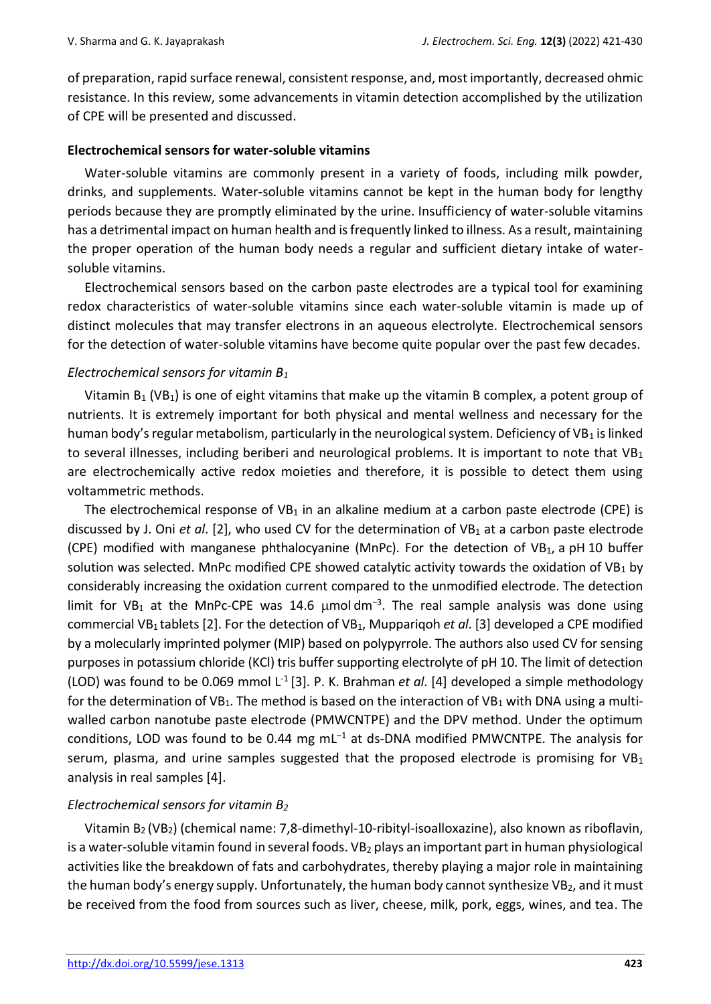of preparation, rapid surface renewal, consistent response, and, most importantly, decreased ohmic resistance. In this review, some advancements in vitamin detection accomplished by the utilization of CPE will be presented and discussed.

#### **Electrochemical sensors for water-soluble vitamins**

Water-soluble vitamins are commonly present in a variety of foods, including milk powder, drinks, and supplements. Water-soluble vitamins cannot be kept in the human body for lengthy periods because they are promptly eliminated by the urine. Insufficiency of water-soluble vitamins has a detrimental impact on human health and is frequently linked to illness. As a result, maintaining the proper operation of the human body needs a regular and sufficient dietary intake of watersoluble vitamins.

Electrochemical sensors based on the carbon paste electrodes are a typical tool for examining redox characteristics of water-soluble vitamins since each water-soluble vitamin is made up of distinct molecules that may transfer electrons in an aqueous electrolyte. Electrochemical sensors for the detection of water-soluble vitamins have become quite popular over the past few decades.

## *Electrochemical sensors for vitamin B<sup>1</sup>*

Vitamin  $B_1$  (VB<sub>1</sub>) is one of eight vitamins that make up the vitamin B complex, a potent group of nutrients. It is extremely important for both physical and mental wellness and necessary for the human body's regular metabolism, particularly in the neurological system. Deficiency of VB<sub>1</sub> is linked to several illnesses, including beriberi and neurological problems. It is important to note that  $VB<sub>1</sub>$ are electrochemically active redox moieties and therefore, it is possible to detect them using voltammetric methods.

The electrochemical response of  $VB_1$  in an alkaline medium at a carbon paste electrode (CPE) is discussed by J. Oni *et al.* [2], who used CV for the determination of VB<sub>1</sub> at a carbon paste electrode (CPE) modified with manganese phthalocyanine (MnPc). For the detection of  $VB<sub>1</sub>$ , a pH 10 buffer solution was selected. MnPc modified CPE showed catalytic activity towards the oxidation of VB<sub>1</sub> by considerably increasing the oxidation current compared to the unmodified electrode. The detection limit for VB<sub>1</sub> at the MnPc-CPE was 14.6  $\mu$ mol*dm*<sup>-3</sup>. The real sample analysis was done using commercial VB1 tablets [2]. For the detection of VB1, Muppariqoh *et al*. [3] developed a CPE modified by a molecularly imprinted polymer (MIP) based on polypyrrole. The authors also used CV for sensing purposes in potassium chloride (KCl) tris buffer supporting electrolyte of pH 10. The limit of detection (LOD) was found to be 0.069 mmol L-1 [3]. P. K. Brahman *et al*. [4] developed a simple methodology for the determination of VB<sub>1</sub>. The method is based on the interaction of VB<sub>1</sub> with DNA using a multiwalled carbon nanotube paste electrode (PMWCNTPE) and the DPV method. Under the optimum conditions, LOD was found to be 0.44 mg mL<sup>−</sup><sup>1</sup> at ds-DNA modified PMWCNTPE. The analysis for serum, plasma, and urine samples suggested that the proposed electrode is promising for  $VB<sub>1</sub>$ analysis in real samples [4].

# *Electrochemical sensors for vitamin B<sup>2</sup>*

Vitamin B<sub>2</sub> (VB<sub>2</sub>) (chemical name: 7,8-dimethyl-10-ribityl-isoalloxazine), also known as riboflavin, is a water-soluble vitamin found in several foods. VB<sup>2</sup> plays an important part in human physiological activities like the breakdown of fats and carbohydrates, thereby playing a major role in maintaining the human body's energy supply. Unfortunately, the human body cannot synthesize VB<sub>2</sub>, and it must be received from the food from sources such as liver, cheese, milk, pork, eggs, wines, and tea. The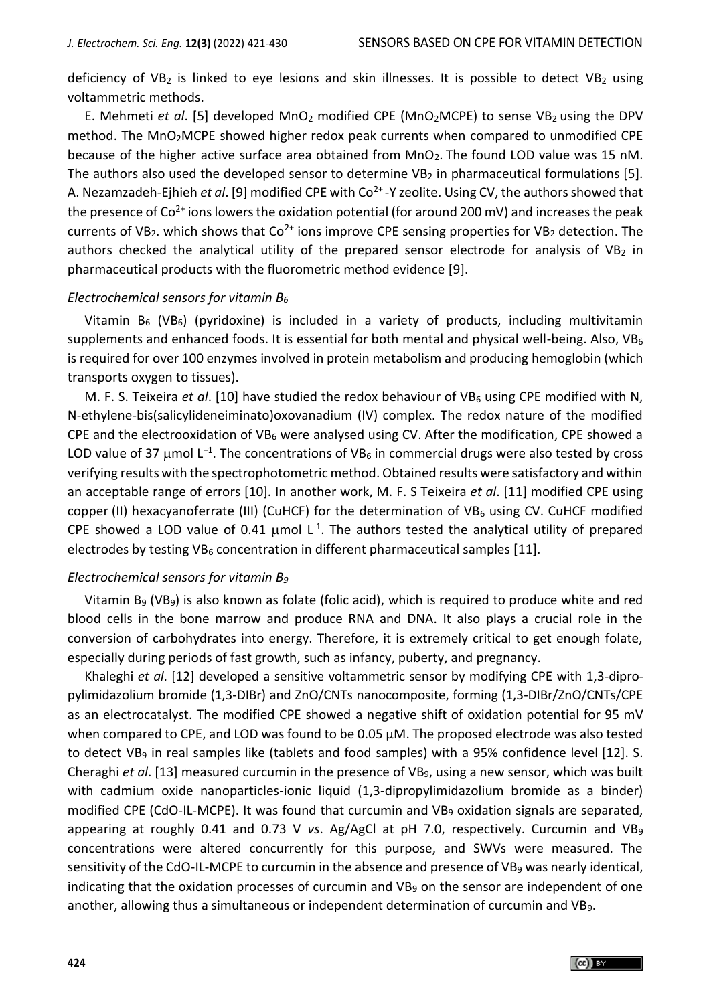deficiency of  $VB_2$  is linked to eye lesions and skin illnesses. It is possible to detect  $VB_2$  using voltammetric methods.

E. Mehmeti *et al.* [5] developed MnO<sub>2</sub> modified CPE (MnO<sub>2</sub>MCPE) to sense VB<sub>2</sub> using the DPV method. The MnO2MCPE showed higher redox peak currents when compared to unmodified CPE because of the higher active surface area obtained from MnO<sub>2</sub>. The found LOD value was 15 nM. The authors also used the developed sensor to determine  $VB<sub>2</sub>$  in pharmaceutical formulations [5]. A. Nezamzadeh-Ejhieh *et al*. [9] modified CPE with Co<sup>2+</sup>-Y zeolite. Using CV, the authors showed that the presence of  $Co^{2+}$  ions lowers the oxidation potential (for around 200 mV) and increases the peak currents of VB<sub>2</sub>. which shows that  $Co^{2+}$  ions improve CPE sensing properties for VB<sub>2</sub> detection. The authors checked the analytical utility of the prepared sensor electrode for analysis of  $VB<sub>2</sub>$  in pharmaceutical products with the fluorometric method evidence [9].

#### *Electrochemical sensors for vitamin B<sup>6</sup>*

Vitamin B<sub>6</sub> (VB<sub>6</sub>) (pyridoxine) is included in a variety of products, including multivitamin supplements and enhanced foods. It is essential for both mental and physical well-being. Also,  $VB_6$ is required for over 100 enzymes involved in protein metabolism and producing hemoglobin (which transports oxygen to tissues).

M. F. S. Teixeira et al. [10] have studied the redox behaviour of VB<sub>6</sub> using CPE modified with N, N-ethylene-bis(salicylideneiminato)oxovanadium (IV) complex. The redox nature of the modified CPE and the electrooxidation of  $VB_6$  were analysed using CV. After the modification, CPE showed a LOD value of 37 µmol L<sup>-1</sup>. The concentrations of VB<sub>6</sub> in commercial drugs were also tested by cross verifying results with the spectrophotometric method. Obtained results were satisfactory and within an acceptable range of errors [10]. In another work, M. F. S Teixeira *et al*. [11] modified CPE using copper (II) hexacyanoferrate (III) (CuHCF) for the determination of  $VB<sub>6</sub>$  using CV. CuHCF modified CPE showed a LOD value of 0.41  $\mu$ mol L<sup>-1</sup>. The authors tested the analytical utility of prepared electrodes by testing  $VB_6$  concentration in different pharmaceutical samples [11].

#### *Electrochemical sensors for vitamin B<sup>9</sup>*

Vitamin  $B_9$  (VB<sub>9</sub>) is also known as folate (folic acid), which is required to produce white and red blood cells in the bone marrow and produce RNA and DNA. It also plays a crucial role in the conversion of carbohydrates into energy. Therefore, it is extremely critical to get enough folate, especially during periods of fast growth, such as infancy, puberty, and pregnancy.

Khaleghi *et al*. [12] developed a sensitive voltammetric sensor by modifying CPE with 1,3-dipropylimidazolium bromide (1,3-DIBr) and ZnO/CNTs nanocomposite, forming (1,3-DIBr/ZnO/CNTs/CPE as an electrocatalyst. The modified CPE showed a negative shift of oxidation potential for 95 mV when compared to CPE, and LOD was found to be 0.05 μM. The proposed electrode was also tested to detect VB<sub>9</sub> in real samples like (tablets and food samples) with a 95% confidence level [12]. S. Cheraghi *et al*. [13] measured curcumin in the presence of VB9, using a new sensor, which was built with cadmium oxide nanoparticles-ionic liquid (1,3-dipropylimidazolium bromide as a binder) modified CPE (CdO-IL-MCPE). It was found that curcumin and VB<sub>9</sub> oxidation signals are separated, appearing at roughly 0.41 and 0.73 V *vs*. Ag/AgCl at pH 7.0, respectively. Curcumin and VB<sup>9</sup> concentrations were altered concurrently for this purpose, and SWVs were measured. The sensitivity of the CdO-IL-MCPE to curcumin in the absence and presence of VB<sub>9</sub> was nearly identical, indicating that the oxidation processes of curcumin and VB<sub>9</sub> on the sensor are independent of one another, allowing thus a simultaneous or independent determination of curcumin and VB9.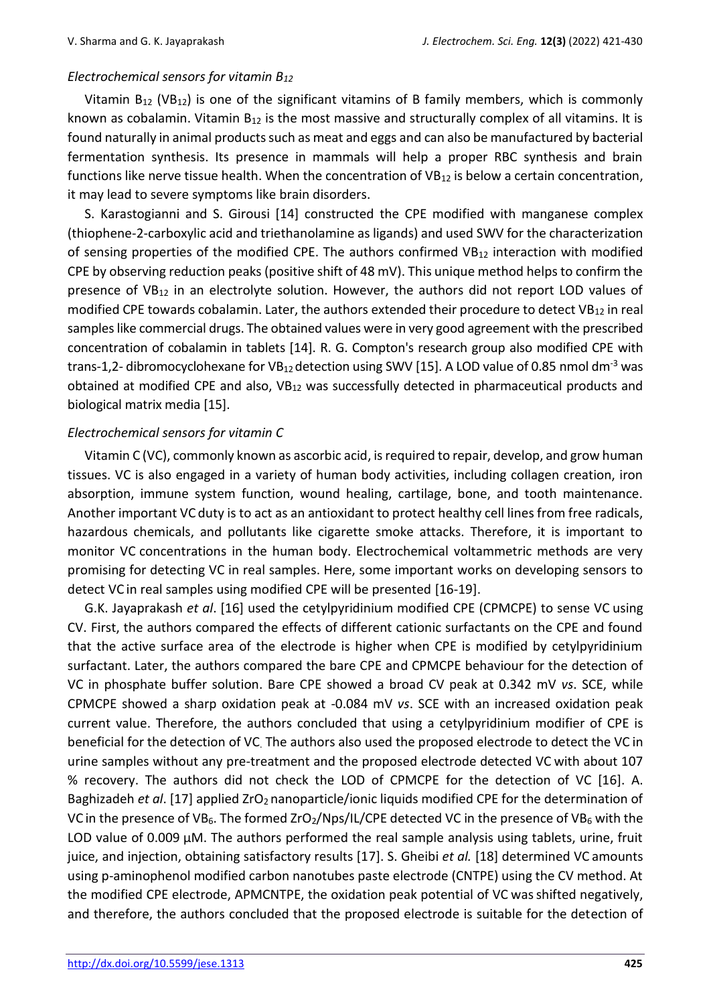## *Electrochemical sensors for vitamin B<sup>12</sup>*

Vitamin  $B_{12}$  (VB<sub>12</sub>) is one of the significant vitamins of B family members, which is commonly known as cobalamin. Vitamin  $B_{12}$  is the most massive and structurally complex of all vitamins. It is found naturally in animal products such as meat and eggs and can also be manufactured by bacterial fermentation synthesis. Its presence in mammals will help a proper RBC synthesis and brain functions like nerve tissue health. When the concentration of  $VB_{12}$  is below a certain concentration, it may lead to severe symptoms like brain disorders.

S. Karastogianni and S. Girousi [14] constructed the CPE modified with manganese complex (thiophene-2-carboxylic acid and triethanolamine as ligands) and used SWV for the characterization of sensing properties of the modified CPE. The authors confirmed VB<sub>12</sub> interaction with modified CPE by observing reduction peaks (positive shift of 48 mV). This unique method helps to confirm the presence of  $VB_{12}$  in an electrolyte solution. However, the authors did not report LOD values of modified CPE towards cobalamin. Later, the authors extended their procedure to detect  $VB_{12}$  in real samples like commercial drugs. The obtained values were in very good agreement with the prescribed concentration of cobalamin in tablets [14]. R. G. Compton's research group also modified CPE with trans-1,2- dibromocyclohexane for  $VB_{12}$  detection using SWV [15]. A LOD value of 0.85 nmol dm<sup>-3</sup> was obtained at modified CPE and also, VB<sub>12</sub> was successfully detected in pharmaceutical products and biological matrix media [15].

# *Electrochemical sensors for vitamin C*

Vitamin C (VC), commonly known as ascorbic acid, is required to repair, develop, and grow human tissues. VC is also engaged in a variety of human body activities, including collagen creation, iron absorption, immune system function, wound healing, cartilage, bone, and tooth maintenance. Another important VC duty is to act as an antioxidant to protect healthy cell lines from free radicals, hazardous chemicals, and pollutants like cigarette smoke attacks. Therefore, it is important to monitor VC concentrations in the human body. Electrochemical voltammetric methods are very promising for detecting VC in real samples. Here, some important works on developing sensors to detect VC in real samples using modified CPE will be presented [16-19].

G.K. Jayaprakash *et al*. [16] used the cetylpyridinium modified CPE (CPMCPE) to sense VC using CV. First, the authors compared the effects of different cationic surfactants on the CPE and found that the active surface area of the electrode is higher when CPE is modified by cetylpyridinium surfactant. Later, the authors compared the bare CPE and CPMCPE behaviour for the detection of VC in phosphate buffer solution. Bare CPE showed a broad CV peak at 0.342 mV *vs*. SCE, while CPMCPE showed a sharp oxidation peak at -0.084 mV *vs*. SCE with an increased oxidation peak current value. Therefore, the authors concluded that using a cetylpyridinium modifier of CPE is beneficial for the detection of VC. The authors also used the proposed electrode to detect the VC in urine samples without any pre-treatment and the proposed electrode detected VC with about 107 % recovery. The authors did not check the LOD of CPMCPE for the detection of VC [16]. A. Baghizadeh *et al*. [17] applied ZrO<sub>2</sub> nanoparticle/ionic liquids modified CPE for the determination of VC in the presence of VB<sub>6</sub>. The formed ZrO<sub>2</sub>/Nps/IL/CPE detected VC in the presence of VB<sub>6</sub> with the LOD value of 0.009 μM. The authors performed the real sample analysis using tablets, urine, fruit juice, and injection, obtaining satisfactory results [17]. S. Gheibi *et al.* [18] determined VC amounts using p-aminophenol modified carbon nanotubes paste electrode (CNTPE) using the CV method. At the modified CPE electrode, APMCNTPE, the oxidation peak potential of VC wasshifted negatively, and therefore, the authors concluded that the proposed electrode is suitable for the detection of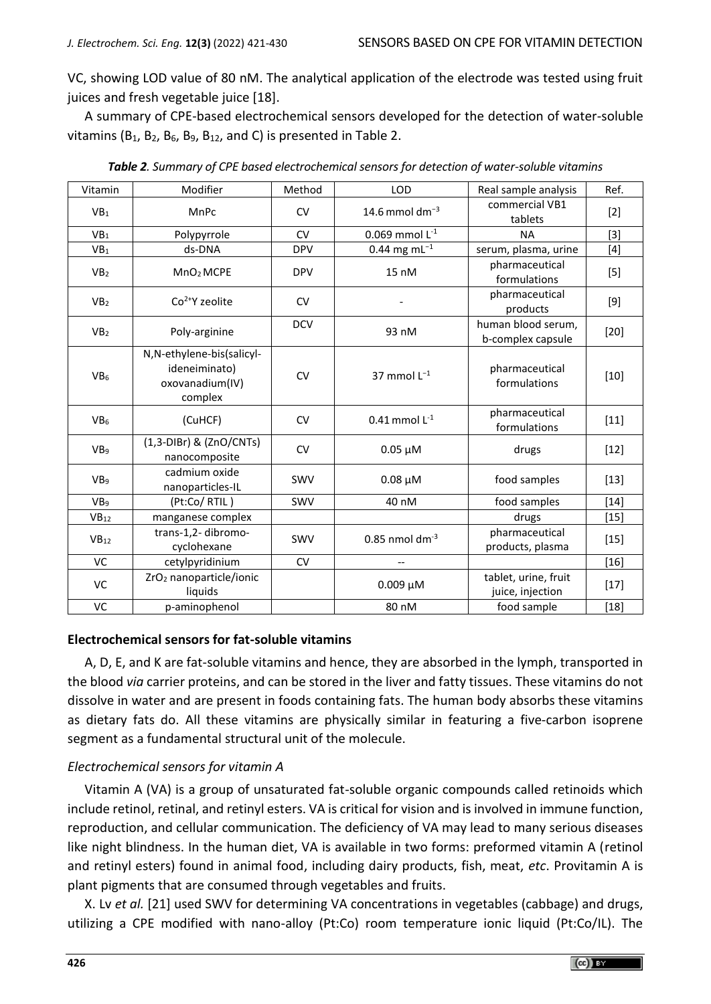VC, showing LOD value of 80 nM. The analytical application of the electrode was tested using fruit juices and fresh vegetable juice [18].

A summary of CPE-based electrochemical sensors developed for the detection of water-soluble vitamins ( $B_1$ ,  $B_2$ ,  $B_6$ ,  $B_9$ ,  $B_{12}$ , and C) is presented in Table 2.

| Vitamin            | Modifier                                                                  | Method     | <b>LOD</b>                 | Real sample analysis                     | Ref.                                                                                       |
|--------------------|---------------------------------------------------------------------------|------------|----------------------------|------------------------------------------|--------------------------------------------------------------------------------------------|
| VB <sub>1</sub>    | MnPc                                                                      | <b>CV</b>  | 14.6 mmol $dm^{-3}$        | commercial VB1<br>tablets                | $[2]$                                                                                      |
| VB <sub>1</sub>    | Polypyrrole                                                               | <b>CV</b>  | 0.069 mmol $L^{-1}$        | <b>NA</b>                                | $[3]$                                                                                      |
| VB <sub>1</sub>    | ds-DNA                                                                    | <b>DPV</b> | $0.44$ mg mL <sup>-1</sup> | serum, plasma, urine                     | $[4] % \includegraphics[width=0.9\columnwidth]{figures/fig_4} \caption{A=}\label{fig:2} %$ |
| VB <sub>2</sub>    | MnO <sub>2</sub> MCPE                                                     | <b>DPV</b> | 15 nM                      | pharmaceutical<br>formulations           | $[5]$                                                                                      |
| VB <sub>2</sub>    | $Co2+Y$ zeolite                                                           | <b>CV</b>  |                            | pharmaceutical<br>products               | $[9]$                                                                                      |
| VB <sub>2</sub>    | Poly-arginine                                                             | <b>DCV</b> | 93 nM                      | human blood serum,<br>b-complex capsule  | $[20]$                                                                                     |
| VB <sub>6</sub>    | N, N-ethylene-bis(salicyl-<br>ideneiminato)<br>oxovanadium(IV)<br>complex | <b>CV</b>  | 37 mmol $L^{-1}$           | pharmaceutical<br>formulations           | $[10]$                                                                                     |
| VB <sub>6</sub>    | (CuHCF)                                                                   | <b>CV</b>  | $0.41$ mmol $L^{-1}$       | pharmaceutical<br>formulations           | $[11]$                                                                                     |
| VB <sub>9</sub>    | (1,3-DIBr) & (ZnO/CNTs)<br>nanocomposite                                  | <b>CV</b>  | $0.05 \mu M$               | drugs                                    | $[12]$                                                                                     |
| VB <sub>9</sub>    | cadmium oxide<br>nanoparticles-IL                                         | SWV        | $0.08 \mu M$               | food samples                             | $[13]$                                                                                     |
| VB <sub>9</sub>    | (Pt:Co/RTIL)                                                              | SWV        | 40 nM                      | food samples                             | $[14]$                                                                                     |
| $\mathsf{VB}_{12}$ | manganese complex                                                         |            |                            | drugs                                    | $[15]$                                                                                     |
| VB <sub>12</sub>   | trans-1,2- dibromo-<br>cyclohexane                                        | SWV        | 0.85 nmol $dm^{-3}$        | pharmaceutical<br>products, plasma       | $[15]$                                                                                     |
| VC                 | cetylpyridinium                                                           | <b>CV</b>  | --                         |                                          | $[16]$                                                                                     |
| VC                 | ZrO <sub>2</sub> nanoparticle/ionic<br>liquids                            |            | $0.009 \mu M$              | tablet, urine, fruit<br>juice, injection | $[17]$                                                                                     |
| VC                 | p-aminophenol                                                             |            | 80 nM                      | food sample                              | $[18]$                                                                                     |

*Table 2. Summary of CPE based electrochemical sensors for detection of water-soluble vitamins*

#### **Electrochemical sensors for fat-soluble vitamins**

A, D, E, and K are fat-soluble vitamins and hence, they are absorbed in the lymph, transported in the blood *via* carrier proteins, and can be stored in the liver and fatty tissues. These vitamins do not dissolve in water and are present in foods containing fats. The human body absorbs these vitamins as dietary fats do. All these vitamins are physically similar in featuring a five-carbon isoprene segment as a fundamental structural unit of the molecule.

# *Electrochemical sensors for vitamin A*

Vitamin A (VA) is a group of unsaturated fat-soluble organic compounds called retinoids which include retinol, retinal, and retinyl esters. VA is critical for vision and is involved in immune function, reproduction, and cellular communication. The deficiency of VA may lead to many serious diseases like night blindness. In the human diet, VA is available in two forms: preformed vitamin A (retinol and retinyl esters) found in animal food, including dairy products, fish, meat, *etc*. Provitamin A is plant pigments that are consumed through vegetables and fruits.

X. Lv *et al.* [21] used SWV for determining VA concentrations in vegetables (cabbage) and drugs, utilizing a CPE modified with nano-alloy (Pt:Co) room temperature ionic liquid (Pt:Co/IL). The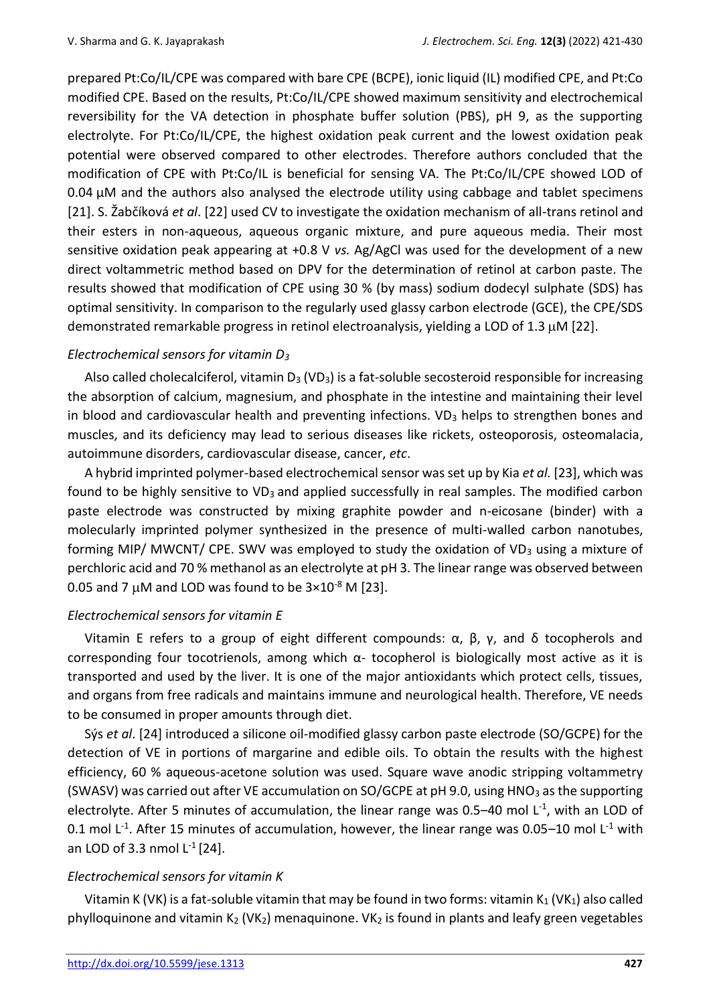prepared Pt:Co/IL/CPE was compared with bare CPE (BCPE), ionic liquid (IL) modified CPE, and Pt:Co modified CPE. Based on the results, Pt:Co/IL/CPE showed maximum sensitivity and electrochemical reversibility for the VA detection in phosphate buffer solution (PBS), pH 9, as the supporting electrolyte. For Pt:Co/IL/CPE, the highest oxidation peak current and the lowest oxidation peak potential were observed compared to other electrodes. Therefore authors concluded that the modification of CPE with Pt:Co/IL is beneficial for sensing VA. The Pt:Co/IL/CPE showed LOD of 0.04  $\mu$ M and the authors also analysed the electrode utility using cabbage and tablet specimens [21]. S. Žabčíková *et al*. [22] used CV to investigate the oxidation mechanism of all-trans retinol and their esters in non-aqueous, aqueous organic mixture, and pure aqueous media. Their most sensitive oxidation peak appearing at +0.8 V *vs.* Ag/AgCl was used for the development of a new direct voltammetric method based on DPV for the determination of retinol at carbon paste. The results showed that modification of CPE using 30 % (by mass) sodium dodecyl sulphate (SDS) has optimal sensitivity. In comparison to the regularly used glassy carbon electrode (GCE), the CPE/SDS demonstrated remarkable progress in retinol electroanalysis, yielding a LOD of 1.3  $\mu$ M [22].

## *Electrochemical sensors for vitamin D<sup>3</sup>*

Also called cholecalciferol, vitamin  $D_3$  (VD<sub>3</sub>) is a fat-soluble secosteroid responsible for increasing the absorption of calcium, magnesium, and phosphate in the intestine and maintaining their level in blood and cardiovascular health and preventing infections.  $VD<sub>3</sub>$  helps to strengthen bones and muscles, and its deficiency may lead to serious diseases like rickets, osteoporosis, osteomalacia, autoimmune disorders, cardiovascular disease, cancer, *etc*.

A hybrid imprinted polymer-based electrochemical sensor was set up by Kia *et al.* [23], which was found to be highly sensitive to  $VD<sub>3</sub>$  and applied successfully in real samples. The modified carbon paste electrode was constructed by mixing graphite powder and n-eicosane (binder) with a molecularly imprinted polymer synthesized in the presence of multi-walled carbon nanotubes, forming MIP/ MWCNT/ CPE. SWV was employed to study the oxidation of  $VD<sub>3</sub>$  using a mixture of perchloric acid and 70 % methanol as an electrolyte at pH 3. The linear range was observed between 0.05 and 7  $\mu$ M and LOD was found to be  $3\times10^{-8}$  M [23].

# *Electrochemical sensors for vitamin E*

Vitamin E refers to a group of eight different compounds:  $\alpha$ ,  $\beta$ ,  $\gamma$ , and δ tocopherols and corresponding four tocotrienols, among which  $\alpha$ - tocopherol is biologically most active as it is transported and used by the liver. It is one of the major antioxidants which protect cells, tissues, and organs from free radicals and maintains immune and neurological health. Therefore, VE needs to be consumed in proper amounts through diet.

Sýs *et al*. [24] introduced a silicone oil-modified glassy carbon paste electrode (SO/GCPE) for the detection of VE in portions of margarine and edible oils. To obtain the results with the highest efficiency, 60 % aqueous-acetone solution was used. Square wave anodic stripping voltammetry (SWASV) was carried out after VE accumulation on SO/GCPE at pH 9.0, using HNO<sub>3</sub> as the supporting electrolyte. After 5 minutes of accumulation, the linear range was 0.5–40 mol L<sup>-1</sup>, with an LOD of 0.1 mol L<sup>-1</sup>. After 15 minutes of accumulation, however, the linear range was 0.05–10 mol L<sup>-1</sup> with an LOD of 3.3 nmol  $L^{-1}$  [24].

# *Electrochemical sensors for vitamin K*

Vitamin K (VK) is a fat-soluble vitamin that may be found in two forms: vitamin  $K_1$  (VK<sub>1</sub>) also called phylloquinone and vitamin  $K_2$  (VK<sub>2</sub>) menaquinone. VK<sub>2</sub> is found in plants and leafy green vegetables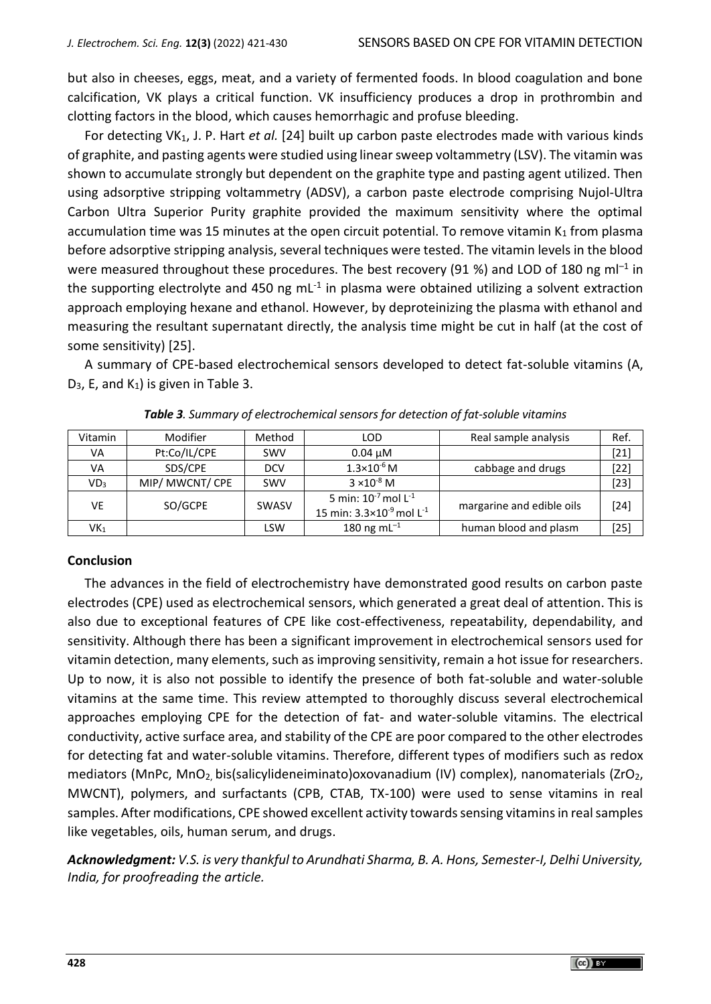but also in cheeses, eggs, meat, and a variety of fermented foods. In blood coagulation and bone calcification, VK plays a critical function. VK insufficiency produces a drop in prothrombin and clotting factors in the blood, which causes hemorrhagic and profuse bleeding.

For detecting VK<sub>1</sub>, J. P. Hart *et al.* [24] built up carbon paste electrodes made with various kinds of graphite, and pasting agents were studied using linear sweep voltammetry (LSV). The vitamin was shown to accumulate strongly but dependent on the graphite type and pasting agent utilized. Then using adsorptive stripping voltammetry (ADSV), a carbon paste electrode comprising Nujol-Ultra Carbon Ultra Superior Purity graphite provided the maximum sensitivity where the optimal accumulation time was 15 minutes at the open circuit potential. To remove vitamin  $K_1$  from plasma before adsorptive stripping analysis, several techniques were tested. The vitamin levels in the blood were measured throughout these procedures. The best recovery (91 %) and LOD of 180 ng ml<sup>-1</sup> in the supporting electrolyte and 450 ng mL<sup>-1</sup> in plasma were obtained utilizing a solvent extraction approach employing hexane and ethanol. However, by deproteinizing the plasma with ethanol and measuring the resultant supernatant directly, the analysis time might be cut in half (at the cost of some sensitivity) [25].

A summary of CPE-based electrochemical sensors developed to detect fat-soluble vitamins (A,  $D_3$ , E, and  $K_1$ ) is given in Table 3.

| Vitamin         | Modifier        | Method     | LOD                                                                                      | Real sample analysis      | Ref.   |
|-----------------|-----------------|------------|------------------------------------------------------------------------------------------|---------------------------|--------|
| VA              | Pt:Co/IL/CPE    | SWV        | $0.04 \mu M$                                                                             |                           | $[21]$ |
| VA              | SDS/CPE         | <b>DCV</b> | $1.3\times10^{-6}$ M                                                                     | cabbage and drugs         | $[22]$ |
| VD <sub>3</sub> | MIP/ MWCNT/ CPE | SWV        | $3 \times 10^{-8}$ M                                                                     |                           | $[23]$ |
| VE              | SO/GCPE         | SWASV      | 5 min: $10^{-7}$ mol L <sup>-1</sup><br>15 min: $3.3 \times 10^{-9}$ mol L <sup>-1</sup> | margarine and edible oils | $[24]$ |
| VK1             |                 | LSW        | 180 ng m $L^{-1}$                                                                        | human blood and plasm     | $[25]$ |

| Table 3. Summary of electrochemical sensors for detection of fat-soluble vitamins |  |  |
|-----------------------------------------------------------------------------------|--|--|
|-----------------------------------------------------------------------------------|--|--|

#### **Conclusion**

The advances in the field of electrochemistry have demonstrated good results on carbon paste electrodes (CPE) used as electrochemical sensors, which generated a great deal of attention. This is also due to exceptional features of CPE like cost-effectiveness, repeatability, dependability, and sensitivity. Although there has been a significant improvement in electrochemical sensors used for vitamin detection, many elements, such as improving sensitivity, remain a hot issue for researchers. Up to now, it is also not possible to identify the presence of both fat-soluble and water-soluble vitamins at the same time. This review attempted to thoroughly discuss several electrochemical approaches employing CPE for the detection of fat- and water-soluble vitamins. The electrical conductivity, active surface area, and stability of the CPE are poor compared to the other electrodes for detecting fat and water-soluble vitamins. Therefore, different types of modifiers such as redox mediators (MnPc, MnO<sub>2</sub>, bis(salicylideneiminato)oxovanadium (IV) complex), nanomaterials (ZrO<sub>2</sub>, MWCNT), polymers, and surfactants (CPB, CTAB, TX-100) were used to sense vitamins in real samples. After modifications, CPE showed excellent activity towards sensing vitamins in real samples like vegetables, oils, human serum, and drugs.

*Acknowledgment: V.S. is very thankful to Arundhati Sharma, B. A. Hons, Semester-I, Delhi University, India, for proofreading the article.*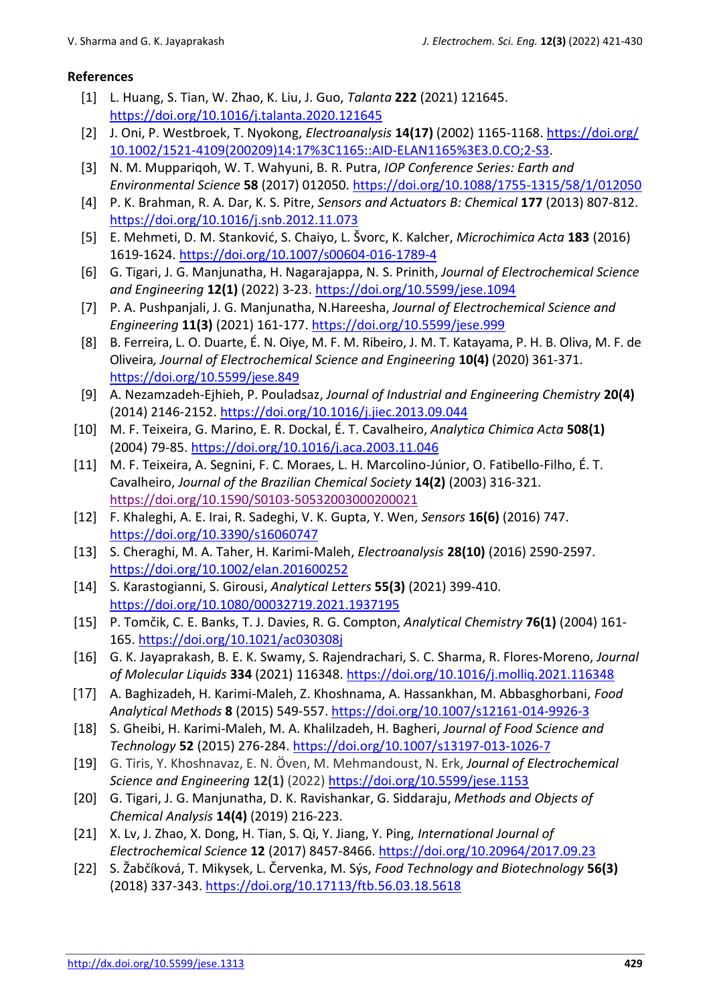## **References**

- [1] L. Huang, S. Tian, W. Zhao, K. Liu, J. Guo, *Talanta* **222** (2021) 121645. <https://doi.org/10.1016/j.talanta.2020.121645>
- [2] J. Oni, P. Westbroek, T. Nyokong, *Electroanalysis* **14(17)** (2002) 1165-1168. [https://doi.org/](https://doi.org/‌10.1002/1521-4109(200209)14:17%3C1165::AID-ELAN1165%3E3.0.CO;2-S3) [10.1002/1521-4109\(200209\)14:17%3C1165::AID-ELAN1165%3E3.0.CO;2-S3.](https://doi.org/‌10.1002/1521-4109(200209)14:17%3C1165::AID-ELAN1165%3E3.0.CO;2-S3)
- [3] N. M. Muppariqoh, W. T. Wahyuni, B. R. Putra, *IOP Conference Series: Earth and Environmental Science* **58** (2017) 012050.<https://doi.org/10.1088/1755-1315/58/1/012050>
- [4] P. K. Brahman, R. A. Dar, K. S. Pitre, *Sensors and Actuators B: Chemical* **177** (2013) 807-812. <https://doi.org/10.1016/j.snb.2012.11.073>
- [5] E. Mehmeti, D. M. Stanković, S. Chaiyo, L. Švorc, K. Kalcher, *Microchimica Acta* **183** (2016) 1619-1624.<https://doi.org/10.1007/s00604-016-1789-4>
- [6] G. Tigari, J. G. Manjunatha, H. Nagarajappa, N. S. Prinith, *Journal of Electrochemical Science and Engineering* **12(1)** (2022) 3-23.<https://doi.org/10.5599/jese.1094>
- [7] P. A. Pushpanjali, J. G. Manjunatha, N.Hareesha, *Journal of Electrochemical Science and Engineering* **11(3)** (2021) 161-177.<https://doi.org/10.5599/jese.999>
- [8] B. Ferreira, L. O. Duarte, É. N. Oiye, M. F. M. Ribeiro, J. M. T. Katayama, P. H. B. Oliva, M. F. de Oliveira*, Journal of Electrochemical Science and Engineering* **10(4)** (2020) 361-371. <https://doi.org/10.5599/jese.849>
- [9] A. Nezamzadeh-Ejhieh, P. Pouladsaz, *Journal of Industrial and Engineering Chemistry* **20(4)**  (2014) 2146-2152.<https://doi.org/10.1016/j.jiec.2013.09.044>
- [10] M. F. Teixeira, G. Marino, E. R. Dockal, É. T. Cavalheiro, *Analytica Chimica Acta* **508(1)** (2004) 79-85.<https://doi.org/10.1016/j.aca.2003.11.046>
- [11] M. F. Teixeira, A. Segnini, F. C. Moraes, L. H. Marcolino-Júnior, O. Fatibello-Filho, É. T. Cavalheiro, *Journal of the Brazilian Chemical Society* **14(2)** (2003) 316-321. <https://doi.org/10.1590/S0103-50532003000200021>
- [12] F. Khaleghi, A. E. Irai, R. Sadeghi, V. K. Gupta, Y. Wen, *Sensors* **16(6)** (2016) 747. <https://doi.org/10.3390/s16060747>
- [13] S. Cheraghi, M. A. Taher, H. Karimi‐Maleh, *Electroanalysis* **28(10)** (2016) 2590-2597. <https://doi.org/10.1002/elan.201600252>
- [14] S. Karastogianni, S. Girousi, *Analytical Letters* **55(3)** (2021) 399-410. <https://doi.org/10.1080/00032719.2021.1937195>
- [15] P. Tomčik, C. E. Banks, T. J. Davies, R. G. Compton, *Analytical Chemistry* **76(1)** (2004) 161- 165.<https://doi.org/10.1021/ac030308j>
- [16] G. K. Jayaprakash, B. E. K. Swamy, S. Rajendrachari, S. C. Sharma, R. Flores-Moreno, *Journal of Molecular Liquids* **334** (2021) 116348.<https://doi.org/10.1016/j.molliq.2021.116348>
- [17] A. Baghizadeh, H. Karimi-Maleh, Z. Khoshnama, A. Hassankhan, M. Abbasghorbani, *Food Analytical Methods* **8** (2015) 549-557.<https://doi.org/10.1007/s12161-014-9926-3>
- [18] S. Gheibi, H. Karimi-Maleh, M. A. Khalilzadeh, H. Bagheri, *Journal of Food Science and Technology* **52** (2015) 276-284.<https://doi.org/10.1007/s13197-013-1026-7>
- [19] G. Tiris, Y. Khoshnavaz, E. N. Öven, M. Mehmandoust, N. Erk, *Journal of Electrochemical Science and Engineering* **12(1)** (2022)<https://doi.org/10.5599/jese.1153>
- [20] G. Tigari, J. G. Manjunatha, D. K. Ravishankar, G. Siddaraju, *Methods and Objects of Chemical Analysis* **14(4)** (2019) 216-223.
- [21] X. Lv, J. Zhao, X. Dong, H. Tian, S. Qi, Y. Jiang, Y. Ping, *International Journal of Electrochemical Science* **12** (2017) 8457-8466.<https://doi.org/10.20964/2017.09.23>
- [22] S. Žabčíková, T. Mikysek, L. Červenka, M. Sýs, *Food Technology and Biotechnology* **56(3)** (2018) 337-343.<https://doi.org/10.17113/ftb.56.03.18.5618>